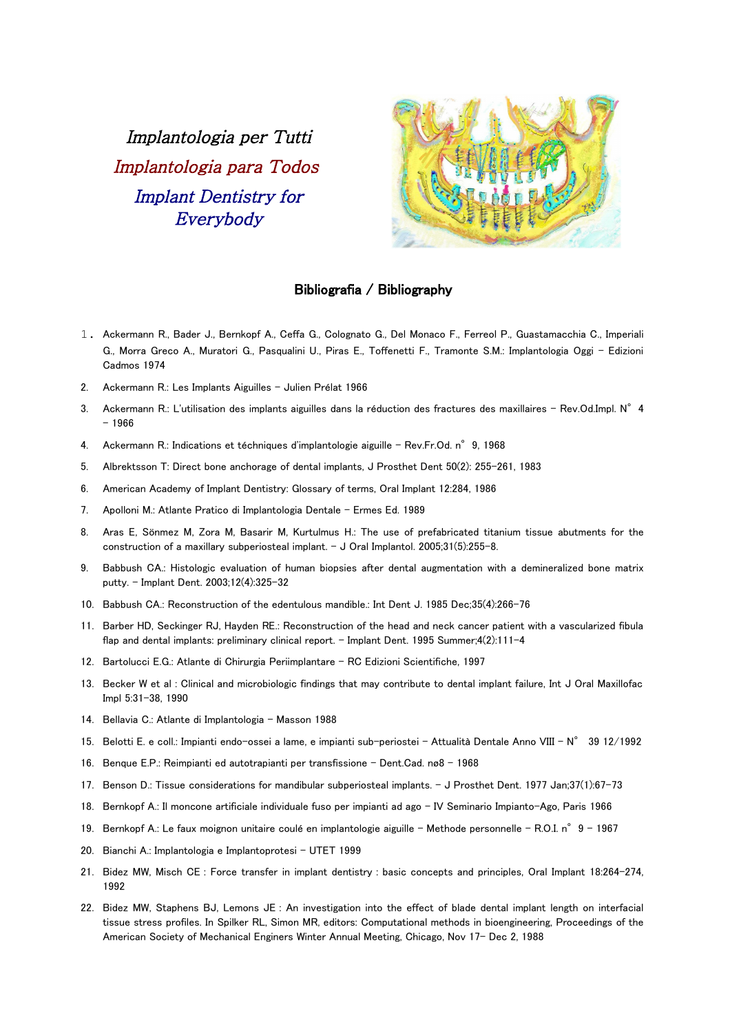Implantologia per Tutti Implantologia para Todos Implant Dentistry for Everybody



## Bibliografia / Bibliography

- 1. Ackermann R., Bader J., Bernkopf A., Ceffa G., Colognato G., Del Monaco F., Ferreol P., Guastamacchia C., Imperiali G., Morra Greco A., Muratori G., Pasqualini U., Piras E., Toffenetti F., Tramonte S.M.: Implantologia Oggi – Edizioni Cadmos 1974
- 2. Ackermann R.: Les Implants Aiguilles Julien Prélat 1966
- 3. Ackermann R.: L'utilisation des implants aiguilles dans la réduction des fractures des maxillaires Rev.Od.Impl. N° 4 – 1966
- 4. Ackermann R.: Indications et téchniques d'implantologie aiguille Rev.Fr.Od. n° 9, 1968
- 5. Albrektsson T: Direct bone anchorage of dental implants, J Prosthet Dent 50(2): 255-261, 1983
- 6. American Academy of Implant Dentistry: Glossary of terms, Oral Implant 12:284, 1986
- 7. Apolloni M.: Atlante Pratico di Implantologia Dentale Ermes Ed. 1989
- 8. Aras E, Sönmez M, Zora M, Basarir M, Kurtulmus H.: The use of prefabricated titanium tissue abutments for the construction of a maxillary subperiosteal implant. - J Oral Implantol. 2005;31(5):255-8.
- 9. Babbush CA.: Histologic evaluation of human biopsies after dental augmentation with a demineralized bone matrix putty. - Implant Dent. 2003;12(4):325-32
- 10. Babbush CA.: Reconstruction of the edentulous mandible.: Int Dent J. 1985 Dec;35(4):266-76
- 11. Barber HD, Seckinger RJ, Hayden RE.: Reconstruction of the head and neck cancer patient with a vascularized fibula flap and dental implants: preliminary clinical report. - Implant Dent. 1995 Summer;4(2):111-4
- 12. Bartolucci E.G.: Atlante di Chirurgia Periimplantare RC Edizioni Scientifiche, 1997
- 13. Becker W et al : Clinical and microbiologic findings that may contribute to dental implant failure, Int J Oral Maxillofac Impl 5:31-38, 1990
- 14. Bellavia C.: Atlante di Implantologia Masson 1988
- 15. Belotti E. e coll.: Impianti endo-ossei a lame, e impianti sub-periostei Attualità Dentale Anno VIII N° 39 12/1992
- 16. Benque E.P.: Reimpianti ed autotrapianti per transfissione Dent.Cad. nø8 1968
- 17. Benson D.: Tissue considerations for mandibular subperiosteal implants. J Prosthet Dent. 1977 Jan;37(1):67-73
- 18. Bernkopf A.: Il moncone artificiale individuale fuso per impianti ad ago IV Seminario Impianto-Ago, Paris 1966
- 19. Bernkopf A.: Le faux moignon unitaire coulé en implantologie aiguille Methode personnelle R.O.I. n°9 1967
- 20. Bianchi A.: Implantologia e Implantoprotesi UTET 1999
- 21. Bidez MW, Misch CE : Force transfer in implant dentistry : basic concepts and principles, Oral Implant 18:264-274, 1992
- 22. Bidez MW, Staphens BJ, Lemons JE : An investigation into the effect of blade dental implant length on interfacial tissue stress profiles. In Spilker RL, Simon MR, editors: Computational methods in bioengineering, Proceedings of the American Society of Mechanical Enginers Winter Annual Meeting, Chicago, Nov 17- Dec 2, 1988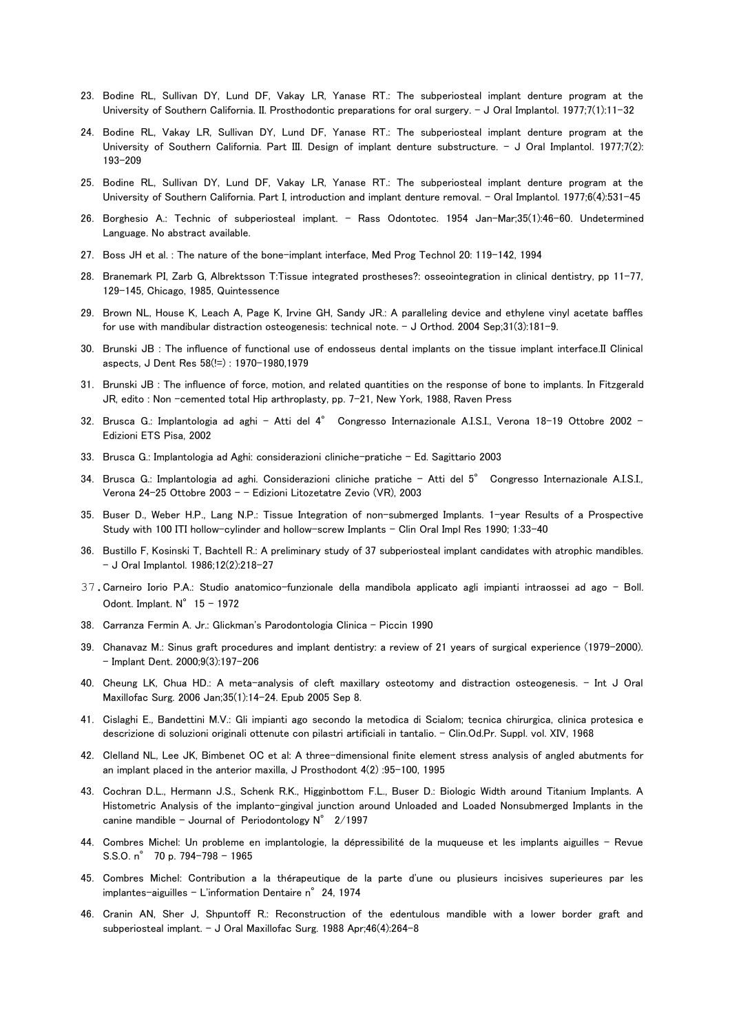- 23. Bodine RL, Sullivan DY, Lund DF, Vakay LR, Yanase RT.: The subperiosteal implant denture program at the University of Southern California. II. Prosthodontic preparations for oral surgery. - J Oral Implantol. 1977;7(1):11-32
- 24. Bodine RL, Vakay LR, Sullivan DY, Lund DF, Yanase RT.: The subperiosteal implant denture program at the University of Southern California. Part III. Design of implant denture substructure. - J Oral Implantol. 1977;7(2): 193-209
- 25. Bodine RL, Sullivan DY, Lund DF, Vakay LR, Yanase RT.: The subperiosteal implant denture program at the University of Southern California. Part I, introduction and implant denture removal. - Oral Implantol. 1977;6(4):531-45
- 26. Borghesio A.: Technic of subperiosteal implant. Rass Odontotec. 1954 Jan-Mar;35(1):46-60. Undetermined Language. No abstract available.
- 27. Boss JH et al. : The nature of the bone-implant interface, Med Prog Technol 20: 119-142, 1994
- 28. Branemark PI, Zarb G, Albrektsson T:Tissue integrated prostheses?: osseointegration in clinical dentistry, pp 11-77, 129-145, Chicago, 1985, Quintessence
- 29. Brown NL, House K, Leach A, Page K, Irvine GH, Sandy JR.: A paralleling device and ethylene vinyl acetate baffles for use with mandibular distraction osteogenesis: technical note. - J Orthod. 2004 Sep;31(3):181-9.
- 30. Brunski JB : The influence of functional use of endosseus dental implants on the tissue implant interface.II Clinical aspects, J Dent Res 58(!=) : 1970-1980,1979
- 31. Brunski JB : The influence of force, motion, and related quantities on the response of bone to implants. In Fitzgerald JR, edito : Non –cemented total Hip arthroplasty, pp. 7-21, New York, 1988, Raven Press
- 32. Brusca G.: Implantologia ad aghi Atti del 4° Congresso Internazionale A.I.S.I., Verona 18-19 Ottobre 2002 -Edizioni ETS Pisa, 2002
- 33. Brusca G.: Implantologia ad Aghi: considerazioni cliniche-pratiche Ed. Sagittario 2003
- 34. Brusca G.: Implantologia ad aghi. Considerazioni cliniche pratiche Atti del 5° Congresso Internazionale A.I.S.I., Verona 24-25 Ottobre 2003 – – Edizioni Litozetatre Zevio (VR), 2003
- 35. Buser D., Weber H.P., Lang N.P.: Tissue Integration of non-submerged Implants. 1-year Results of a Prospective Study with 100 ITI hollow-cylinder and hollow-screw Implants - Clin Oral Impl Res 1990; 1:33-40
- 36. Bustillo F, Kosinski T, Bachtell R.: A preliminary study of 37 subperiosteal implant candidates with atrophic mandibles. - J Oral Implantol. 1986;12(2):218-27
- 37.Carneiro Iorio P.A.: Studio anatomico-funzionale della mandibola applicato agli impianti intraossei ad ago Boll. Odont. Implant.  $N^{\circ}$  15 - 1972
- 38. Carranza Fermin A. Jr.: Glickman's Parodontologia Clinica Piccin 1990
- 39. Chanavaz M.: Sinus graft procedures and implant dentistry: a review of 21 years of surgical experience (1979-2000). - Implant Dent. 2000;9(3):197-206
- 40. Cheung LK, Chua HD.: A meta-analysis of cleft maxillary osteotomy and distraction osteogenesis. Int J Oral Maxillofac Surg. 2006 Jan;35(1):14-24. Epub 2005 Sep 8.
- 41. Cislaghi E., Bandettini M.V.: Gli impianti ago secondo la metodica di Scialom; tecnica chirurgica, clinica protesica e descrizione di soluzioni originali ottenute con pilastri artificiali in tantalio. - Clin.Od.Pr. Suppl. vol. XIV, 1968
- 42. Clelland NL, Lee JK, Bimbenet OC et al: A three-dimensional finite element stress analysis of angled abutments for an implant placed in the anterior maxilla, J Prosthodont 4(2) :95-100, 1995
- 43. Cochran D.L., Hermann J.S., Schenk R.K., Higginbottom F.L., Buser D.: Biologic Width around Titanium Implants. A Histometric Analysis of the implanto-gingival junction around Unloaded and Loaded Nonsubmerged Implants in the canine mandible - Journal of Periodontology  $N^{\circ}$  2/1997
- 44. Combres Michel: Un probleme en implantologie, la dépressibilité de la muqueuse et les implants aiguilles Revue S.S.O. n° 70 p. 794-798 – 1965
- 45. Combres Michel: Contribution a la thérapeutique de la parte d'une ou plusieurs incisives superieures par les implantes-aiguilles - L'information Dentaire n°24, 1974
- 46. Cranin AN, Sher J, Shpuntoff R.: Reconstruction of the edentulous mandible with a lower border graft and subperiosteal implant. - J Oral Maxillofac Surg. 1988 Apr;46(4):264-8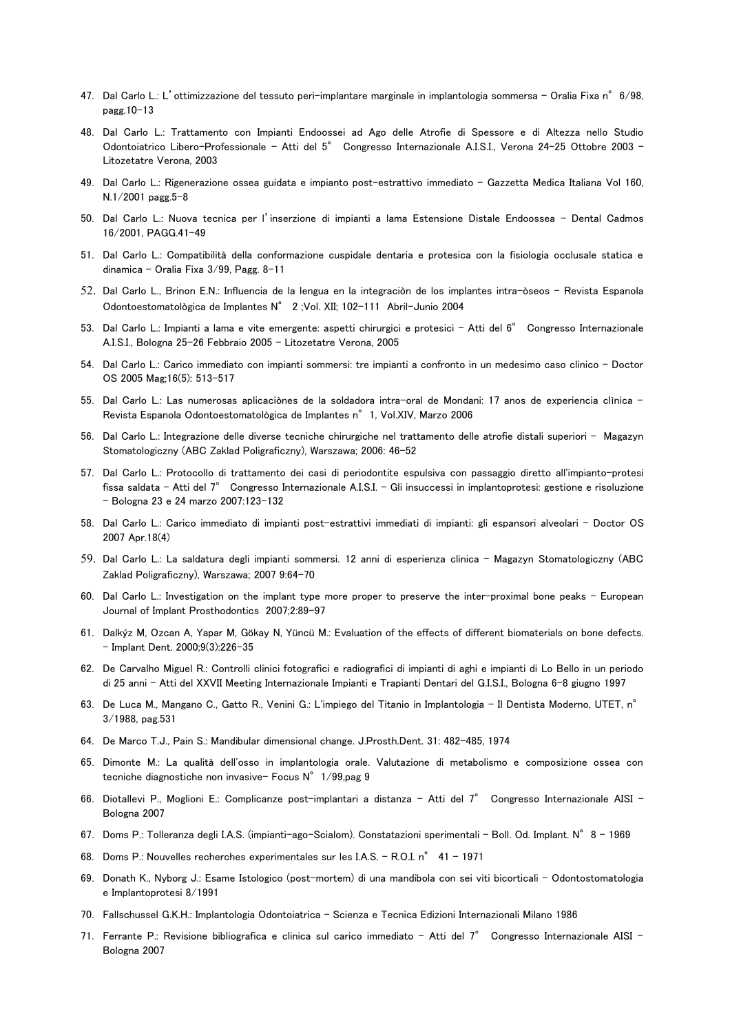- 47. Dal Carlo L.: L'ottimizzazione del tessuto peri-implantare marginale in implantologia sommersa Oralia Fixa n°6/98, pagg.10-13
- 48. Dal Carlo L.: Trattamento con Impianti Endoossei ad Ago delle Atrofie di Spessore e di Altezza nello Studio Odontoiatrico Libero-Professionale – Atti del 5° Congresso Internazionale A.I.S.I., Verona 24-25 Ottobre 2003 – Litozetatre Verona, 2003
- 49. Dal Carlo L.: Rigenerazione ossea guidata e impianto post-estrattivo immediato Gazzetta Medica Italiana Vol 160, N.1/2001 pagg.5-8
- 50. Dal Carlo L.: Nuova tecnica per l'inserzione di impianti a lama Estensione Distale Endoossea Dental Cadmos 16/2001, PAGG.41-49
- 51. Dal Carlo L.: Compatibilità della conformazione cuspidale dentaria e protesica con la fisiologia occlusale statica e dinamica – Oralia Fixa 3/99, Pagg. 8-11
- 52. Dal Carlo L., Brinon E.N.: Influencia de la lengua en la integraciòn de los implantes intra-òseos Revista Espanola Odontoestomatològica de Implantes N° 2 ;Vol. XII; 102-111 Abril-Junio 2004
- 53. Dal Carlo L.: Impianti a lama e vite emergente: aspetti chirurgici e protesici Atti del 6° Congresso Internazionale A.I.S.I., Bologna 25-26 Febbraio 2005 – Litozetatre Verona, 2005
- 54. Dal Carlo L.: Carico immediato con impianti sommersi: tre impianti a confronto in un medesimo caso clinico Doctor OS 2005 Mag;16(5): 513-517
- 55. Dal Carlo L.: Las numerosas aplicaciònes de la soldadora intra-oral de Mondani: 17 anos de experiencia clìnica Revista Espanola Odontoestomatològica de Implantes n°1, Vol.XIV, Marzo 2006
- 56. Dal Carlo L.: Integrazione delle diverse tecniche chirurgiche nel trattamento delle atrofie distali superiori Magazyn Stomatologiczny (ABC Zaklad Poligraficzny), Warszawa; 2006: 46-52
- 57. Dal Carlo L.: Protocollo di trattamento dei casi di periodontite espulsiva con passaggio diretto all'impianto-protesi fissa saldata – Atti del 7° Congresso Internazionale A.I.S.I. – Gli insuccessi in implantoprotesi: gestione e risoluzione – Bologna 23 e 24 marzo 2007:123-132
- 58. Dal Carlo L.: Carico immediato di impianti post-estrattivi immediati di impianti: gli espansori alveolari Doctor OS 2007 Apr.18(4)
- 59. Dal Carlo L.: La saldatura degli impianti sommersi. 12 anni di esperienza clinica Magazyn Stomatologiczny (ABC Zaklad Poligraficzny), Warszawa; 2007 9:64-70
- 60. Dal Carlo L.: Investigation on the implant type more proper to preserve the inter-proximal bone peaks European Journal of Implant Prosthodontics 2007;2:89-97
- 61. Dalkýz M, Ozcan A, Yapar M, Gökay N, Yüncü M.: Evaluation of the effects of different biomaterials on bone defects. - Implant Dent. 2000;9(3):226-35
- 62. De Carvalho Miguel R.: Controlli clinici fotografici e radiografici di impianti di aghi e impianti di Lo Bello in un periodo di 25 anni - Atti del XXVII Meeting Internazionale Impianti e Trapianti Dentari del G.I.S.I., Bologna 6-8 giugno 1997
- 63. De Luca M., Mangano C., Gatto R., Venini G.: L'impiego del Titanio in Implantologia Il Dentista Moderno, UTET, n° 3/1988, pag.531
- 64. De Marco T.J., Pain S.: Mandibular dimensional change. J.Prosth.Dent. 31: 482-485, 1974
- 65. Dimonte M.: La qualità dell'osso in implantologia orale. Valutazione di metabolismo e composizione ossea con tecniche diagnostiche non invasive- Focus N° 1/99,pag 9
- 66. Diotallevi P., Moglioni E.: Complicanze post-implantari a distanza Atti del 7° Congresso Internazionale AISI Bologna 2007
- 67. Doms P.: Tolleranza degli I.A.S. (impianti-ago-Scialom). Constatazioni sperimentali Boll. Od. Implant. N°8 1969
- 68. Doms P.: Nouvelles recherches experimentales sur les I.A.S. R.O.I. n° 41 1971
- 69. Donath K., Nyborg J.: Esame Istologico (post-mortem) di una mandibola con sei viti bicorticali Odontostomatologia e Implantoprotesi 8/1991
- 70. Fallschussel G.K.H.: Implantologia Odontoiatrica Scienza e Tecnica Edizioni Internazionali Milano 1986
- 71. Ferrante P.: Revisione bibliografica e clinica sul carico immediato Atti del 7° Congresso Internazionale AISI -Bologna 2007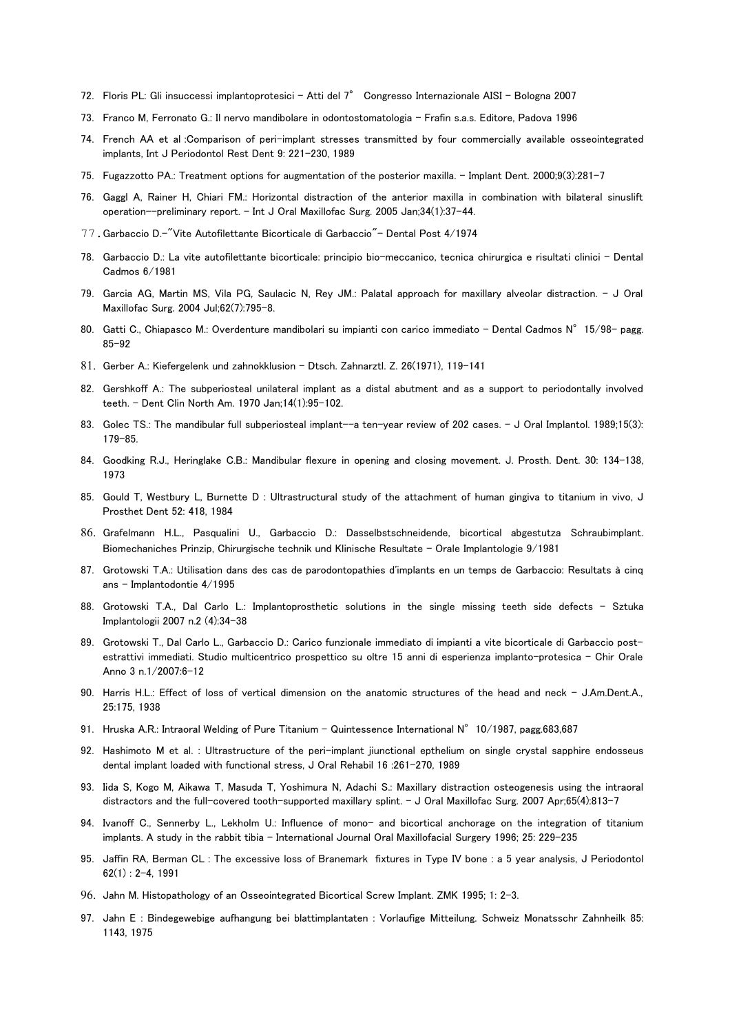- 72. Floris PL: Gli insuccessi implantoprotesici Atti del 7° Congresso Internazionale AISI Bologna 2007
- 73. Franco M, Ferronato G.: Il nervo mandibolare in odontostomatologia Frafin s.a.s. Editore, Padova 1996
- 74. French AA et al :Comparison of peri-implant stresses transmitted by four commercially available osseointegrated implants, Int J Periodontol Rest Dent 9: 221-230, 1989
- 75. Fugazzotto PA.: Treatment options for augmentation of the posterior maxilla. Implant Dent. 2000;9(3):281-7
- 76. Gaggl A, Rainer H, Chiari FM.: Horizontal distraction of the anterior maxilla in combination with bilateral sinuslift operation--preliminary report. - Int J Oral Maxillofac Surg. 2005 Jan;34(1):37-44.
- 77.Garbaccio D.-"Vite Autofilettante Bicorticale di Garbaccio"- Dental Post 4/1974
- 78. Garbaccio D.: La vite autofilettante bicorticale: principio bio-meccanico, tecnica chirurgica e risultati clinici Dental Cadmos 6/1981
- 79. Garcia AG, Martin MS, Vila PG, Saulacic N, Rey JM.: Palatal approach for maxillary alveolar distraction. J Oral Maxillofac Surg. 2004 Jul;62(7):795-8.
- 80. Gatti C., Chiapasco M.: Overdenture mandibolari su impianti con carico immediato Dental Cadmos N°15/98- pagg. 85-92
- 81. Gerber A.: Kiefergelenk und zahnokklusion Dtsch. Zahnarztl. Z. 26(1971), 119-141
- 82. Gershkoff A.: The subperiosteal unilateral implant as a distal abutment and as a support to periodontally involved teeth. - Dent Clin North Am. 1970 Jan;14(1):95-102.
- 83. Golec TS.: The mandibular full subperiosteal implant--a ten-year review of 202 cases. J Oral Implantol. 1989;15(3): 179-85.
- 84. Goodking R.J., Heringlake C.B.: Mandibular flexure in opening and closing movement. J. Prosth. Dent. 30: 134-138, 1973
- 85. Gould T, Westbury L, Burnette D : Ultrastructural study of the attachment of human gingiva to titanium in vivo, J Prosthet Dent 52: 418, 1984
- 86. Grafelmann H.L., Pasqualini U., Garbaccio D.: Dasselbstschneidende, bicortical abgestutza Schraubimplant. Biomechaniches Prinzip, Chirurgische technik und Klinische Resultate - Orale Implantologie 9/1981
- 87. Grotowski T.A.: Utilisation dans des cas de parodontopathies d'implants en un temps de Garbaccio: Resultats à cinq ans - Implantodontie 4/1995
- 88. Grotowski T.A., Dal Carlo L.: Implantoprosthetic solutions in the single missing teeth side defects Sztuka Implantologii 2007 n.2 (4):34-38
- 89. Grotowski T., Dal Carlo L., Garbaccio D.: Carico funzionale immediato di impianti a vite bicorticale di Garbaccio postestrattivi immediati. Studio multicentrico prospettico su oltre 15 anni di esperienza implanto-protesica – Chir Orale Anno 3 n.1/2007:6-12
- 90. Harris H.L.: Effect of loss of vertical dimension on the anatomic structures of the head and neck J.Am.Dent.A., 25:175, 1938
- 91. Hruska A.R.: Intraoral Welding of Pure Titanium Quintessence International N° 10/1987, pagg.683,687
- 92. Hashimoto M et al. : Ultrastructure of the peri-implant jiunctional epthelium on single crystal sapphire endosseus dental implant loaded with functional stress, J Oral Rehabil 16 :261-270, 1989
- 93. Iida S, Kogo M, Aikawa T, Masuda T, Yoshimura N, Adachi S.: Maxillary distraction osteogenesis using the intraoral distractors and the full-covered tooth-supported maxillary splint. - J Oral Maxillofac Surg. 2007 Apr;65(4):813-7
- 94. Ivanoff C., Sennerby L., Lekholm U.: Influence of mono- and bicortical anchorage on the integration of titanium implants. A study in the rabbit tibia - International Journal Oral Maxillofacial Surgery 1996; 25: 229-235
- 95. Jaffin RA, Berman CL : The excessive loss of Branemark fixtures in Type IV bone : a 5 year analysis, J Periodontol  $62(1)$ : 2-4, 1991
- 96. Jahn M. Histopathology of an Osseointegrated Bicortical Screw Implant. ZMK 1995; 1: 2-3.
- 97. Jahn E : Bindegewebige aufhangung bei blattimplantaten : Vorlaufige Mitteilung. Schweiz Monatsschr Zahnheilk 85: 1143, 1975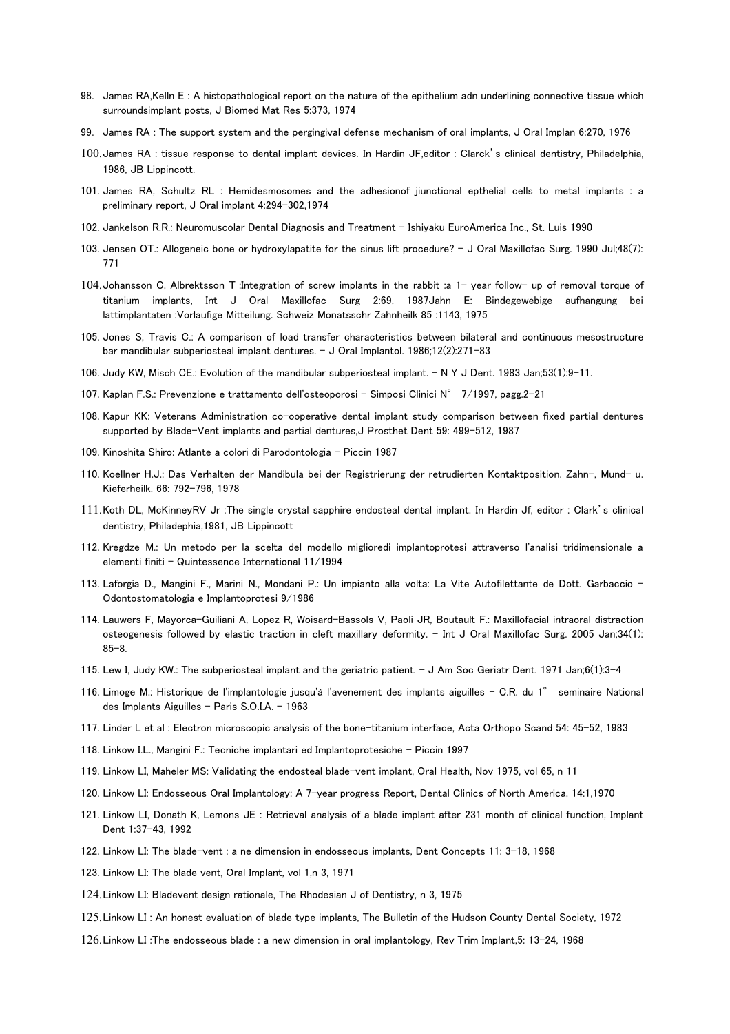- 98. James RA,Kelln E : A histopathological report on the nature of the epithelium adn underlining connective tissue which surroundsimplant posts, J Biomed Mat Res 5:373, 1974
- 99. James RA : The support system and the pergingival defense mechanism of oral implants, J Oral Implan 6:270, 1976
- 100.James RA : tissue response to dental implant devices. In Hardin JF,editor : Clarck's clinical dentistry, Philadelphia, 1986, JB Lippincott.
- 101. James RA, Schultz RL : Hemidesmosomes and the adhesionof jiunctional epthelial cells to metal implants : a preliminary report, J Oral implant 4:294-302,1974
- 102. Jankelson R.R.: Neuromuscolar Dental Diagnosis and Treatment Ishiyaku EuroAmerica Inc., St. Luis 1990
- 103. Jensen OT.: Allogeneic bone or hydroxylapatite for the sinus lift procedure? J Oral Maxillofac Surg. 1990 Jul;48(7): 771
- 104.Johansson C, Albrektsson T :Integration of screw implants in the rabbit :a 1- year follow- up of removal torque of titanium implants, Int J Oral Maxillofac Surg 2:69, 1987Jahn E: Bindegewebige aufhangung bei lattimplantaten :Vorlaufige Mitteilung. Schweiz Monatsschr Zahnheilk 85 :1143, 1975
- 105. Jones S, Travis C.: A comparison of load transfer characteristics between bilateral and continuous mesostructure bar mandibular subperiosteal implant dentures. - J Oral Implantol. 1986;12(2):271-83
- 106. Judy KW, Misch CE.: Evolution of the mandibular subperiosteal implant. N Y J Dent. 1983 Jan;53(1):9-11.
- 107. Kaplan F.S.: Prevenzione e trattamento dell'osteoporosi Simposi Clinici N° 7/1997, pagg.2-21
- 108. Kapur KK: Veterans Administration co-ooperative dental implant study comparison between fixed partial dentures supported by Blade-Vent implants and partial dentures,J Prosthet Dent 59: 499-512, 1987
- 109. Kinoshita Shiro: Atlante a colori di Parodontologia Piccin 1987
- 110. Koellner H.J.: Das Verhalten der Mandibula bei der Registrierung der retrudierten Kontaktposition. Zahn-, Mund- u. Kieferheilk. 66: 792-796, 1978
- 111.Koth DL, McKinneyRV Jr :The single crystal sapphire endosteal dental implant. In Hardin Jf, editor : Clark's clinical dentistry, Philadephia,1981, JB Lippincott
- 112. Kregdze M.: Un metodo per la scelta del modello miglioredi implantoprotesi attraverso l'analisi tridimensionale a elementi finiti - Quintessence International 11/1994
- 113. Laforgia D., Mangini F., Marini N., Mondani P.: Un impianto alla volta: La Vite Autofilettante de Dott. Garbaccio Odontostomatologia e Implantoprotesi 9/1986
- 114. Lauwers F, Mayorca-Guiliani A, Lopez R, Woisard-Bassols V, Paoli JR, Boutault F.: Maxillofacial intraoral distraction osteogenesis followed by elastic traction in cleft maxillary deformity. - Int J Oral Maxillofac Surg. 2005 Jan;34(1): 85-8.
- 115. Lew I, Judy KW.: The subperiosteal implant and the geriatric patient. J Am Soc Geriatr Dent. 1971 Jan;6(1):3-4
- 116. Limoge M.: Historique de l'implantologie jusqu'à l'avenement des implants aiguilles C.R. du 1° seminaire National des Implants Aiguilles - Paris S.O.I.A. - 1963
- 117. Linder L et al : Electron microscopic analysis of the bone-titanium interface, Acta Orthopo Scand 54: 45-52, 1983
- 118. Linkow I.L., Mangini F.: Tecniche implantari ed Implantoprotesiche Piccin 1997
- 119. Linkow LI, Maheler MS: Validating the endosteal blade-vent implant, Oral Health, Nov 1975, vol 65, n 11
- 120. Linkow LI: Endosseous Oral Implantology: A 7-year progress Report, Dental Clinics of North America, 14:1,1970
- 121. Linkow LI, Donath K, Lemons JE : Retrieval analysis of a blade implant after 231 month of clinical function, Implant Dent 1:37-43, 1992
- 122. Linkow LI: The blade-vent : a ne dimension in endosseous implants, Dent Concepts 11: 3-18, 1968
- 123. Linkow LI: The blade vent, Oral Implant, vol 1,n 3, 1971
- 124.Linkow LI: Bladevent design rationale, The Rhodesian J of Dentistry, n 3, 1975
- 125.Linkow LI : An honest evaluation of blade type implants, The Bulletin of the Hudson County Dental Society, 1972
- 126.Linkow LI :The endosseous blade : a new dimension in oral implantology, Rev Trim Implant,5: 13-24, 1968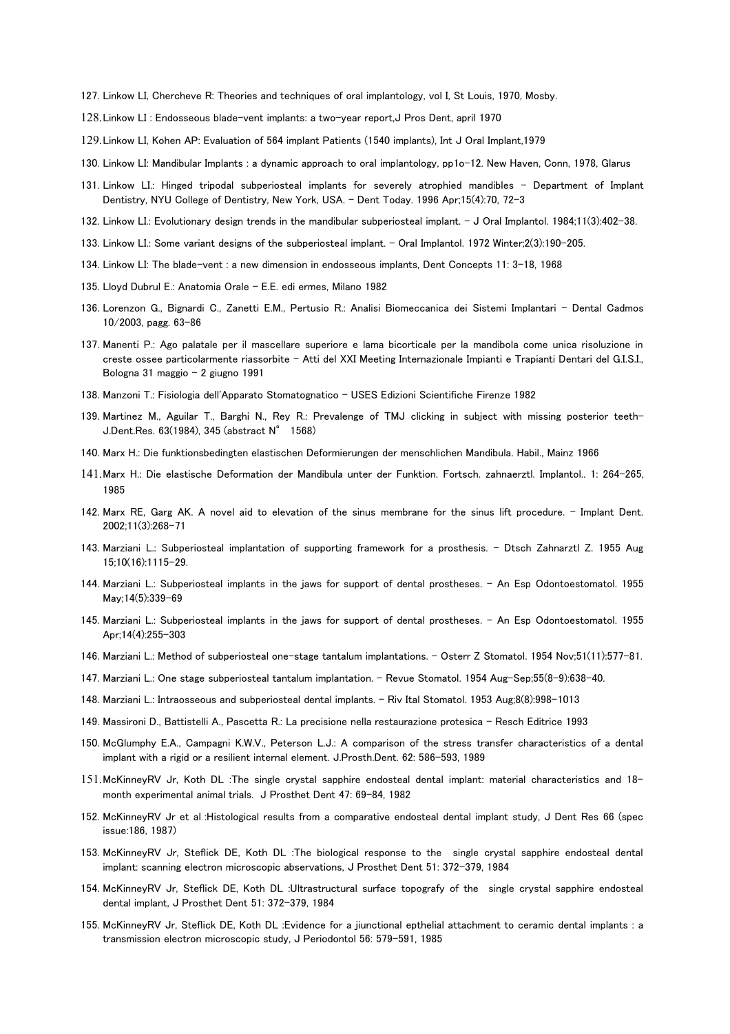- 127. Linkow LI, Chercheve R: Theories and techniques of oral implantology, vol I, St Louis, 1970, Mosby.
- 128.Linkow LI : Endosseous blade-vent implants: a two-year report,J Pros Dent, april 1970
- 129.Linkow LI, Kohen AP: Evaluation of 564 implant Patients (1540 implants), Int J Oral Implant,1979
- 130. Linkow LI: Mandibular Implants : a dynamic approach to oral implantology, pp1o-12. New Haven, Conn, 1978, Glarus
- 131. Linkow LI.: Hinged tripodal subperiosteal implants for severely atrophied mandibles Department of Implant Dentistry, NYU College of Dentistry, New York, USA. - Dent Today. 1996 Apr;15(4):70, 72-3
- 132. Linkow LI.: Evolutionary design trends in the mandibular subperiosteal implant. J Oral Implantol. 1984;11(3):402-38.
- 133. Linkow LI.: Some variant designs of the subperiosteal implant. Oral Implantol. 1972 Winter;2(3):190-205.
- 134. Linkow LI: The blade-vent : a new dimension in endosseous implants, Dent Concepts 11: 3-18, 1968
- 135. Lloyd Dubrul E.: Anatomia Orale E.E. edi ermes, Milano 1982
- 136. Lorenzon G., Bignardi C., Zanetti E.M., Pertusio R.: Analisi Biomeccanica dei Sistemi Implantari Dental Cadmos 10/2003, pagg. 63-86
- 137. Manenti P.: Ago palatale per il mascellare superiore e lama bicorticale per la mandibola come unica risoluzione in creste ossee particolarmente riassorbite – Atti del XXI Meeting Internazionale Impianti e Trapianti Dentari del G.I.S.I., Bologna 31 maggio - 2 giugno 1991
- 138. Manzoni T.: Fisiologia dell'Apparato Stomatognatico USES Edizioni Scientifiche Firenze 1982
- 139. Martinez M., Aguilar T., Barghi N., Rey R.: Prevalenge of TMJ clicking in subject with missing posterior teeth-J.Dent.Res. 63(1984), 345 (abstract N° 1568)
- 140. Marx H.: Die funktionsbedingten elastischen Deformierungen der menschlichen Mandibula. Habil., Mainz 1966
- 141.Marx H.: Die elastische Deformation der Mandibula unter der Funktion. Fortsch. zahnaerztl. Implantol.. 1: 264-265, 1985
- 142. Marx RE, Garg AK. A novel aid to elevation of the sinus membrane for the sinus lift procedure. Implant Dent. 2002;11(3):268-71
- 143. Marziani L.: Subperiosteal implantation of supporting framework for a prosthesis. Dtsch Zahnarztl Z. 1955 Aug 15;10(16):1115-29.
- 144. Marziani L.: Subperiosteal implants in the jaws for support of dental prostheses. An Esp Odontoestomatol. 1955 May;14(5):339-69
- 145. Marziani L.: Subperiosteal implants in the jaws for support of dental prostheses. An Esp Odontoestomatol. 1955 Apr;14(4):255-303
- 146. Marziani L.: Method of subperiosteal one-stage tantalum implantations. Osterr Z Stomatol. 1954 Nov;51(11):577-81.
- 147. Marziani L.: One stage subperiosteal tantalum implantation. Revue Stomatol. 1954 Aug-Sep;55(8-9):638-40.
- 148. Marziani L.: Intraosseous and subperiosteal dental implants. Riv Ital Stomatol. 1953 Aug;8(8):998-1013
- 149. Massironi D., Battistelli A., Pascetta R.: La precisione nella restaurazione protesica Resch Editrice 1993
- 150. McGlumphy E.A., Campagni K.W.V., Peterson L.J.: A comparison of the stress transfer characteristics of a dental implant with a rigid or a resilient internal element. J.Prosth.Dent. 62: 586-593, 1989
- 151.McKinneyRV Jr, Koth DL :The single crystal sapphire endosteal dental implant: material characteristics and 18 month experimental animal trials. J Prosthet Dent 47: 69-84, 1982
- 152. McKinneyRV Jr et al :Histological results from a comparative endosteal dental implant study, J Dent Res 66 (spec issue:186, 1987)
- 153. McKinneyRV Jr, Steflick DE, Koth DL :The biological response to the single crystal sapphire endosteal dental implant: scanning electron microscopic abservations, J Prosthet Dent 51: 372-379, 1984
- 154. McKinneyRV Jr, Steflick DE, Koth DL :Ultrastructural surface topografy of the single crystal sapphire endosteal dental implant, J Prosthet Dent 51: 372-379, 1984
- 155. McKinneyRV Jr, Steflick DE, Koth DL :Evidence for a jiunctional epthelial attachment to ceramic dental implants : a transmission electron microscopic study, J Periodontol 56: 579-591, 1985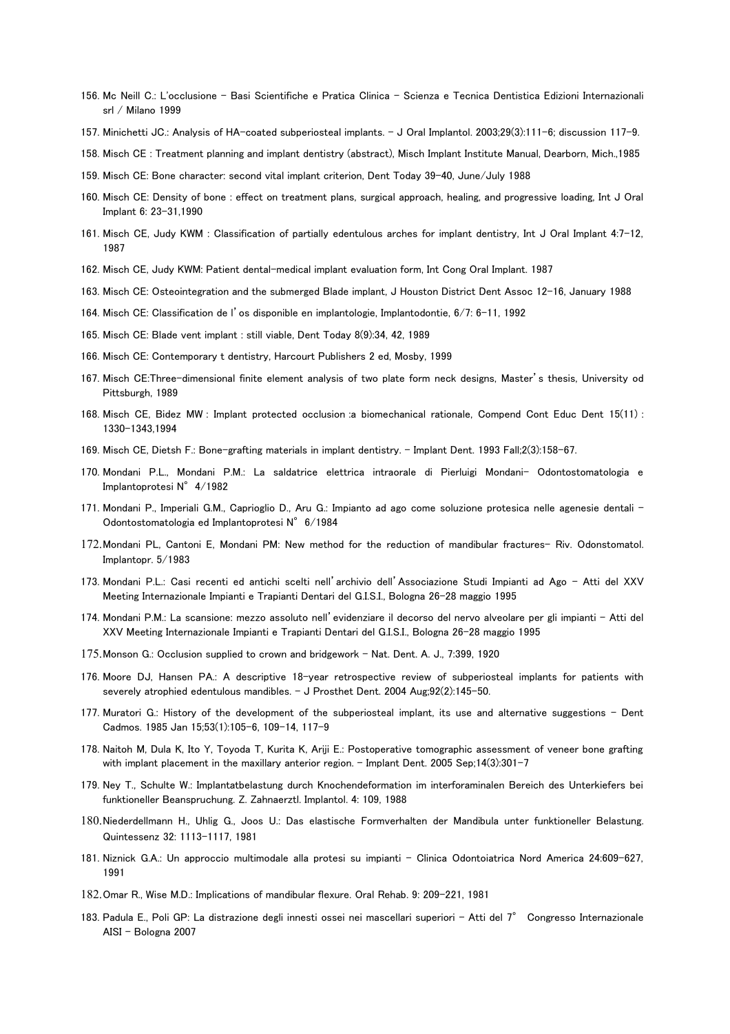- 156. Mc Neill C.: L'occlusione Basi Scientifiche e Pratica Clinica Scienza e Tecnica Dentistica Edizioni Internazionali srl / Milano 1999
- 157. Minichetti JC.: Analysis of HA-coated subperiosteal implants. J Oral Implantol. 2003;29(3):111-6; discussion 117-9.
- 158. Misch CE : Treatment planning and implant dentistry (abstract), Misch Implant Institute Manual, Dearborn, Mich.,1985
- 159. Misch CE: Bone character: second vital implant criterion, Dent Today 39-40, June/July 1988
- 160. Misch CE: Density of bone : effect on treatment plans, surgical approach, healing, and progressive loading, Int J Oral Implant 6: 23-31,1990
- 161. Misch CE, Judy KWM : Classification of partially edentulous arches for implant dentistry, Int J Oral Implant 4:7-12, 1987
- 162. Misch CE, Judy KWM: Patient dental-medical implant evaluation form, Int Cong Oral Implant. 1987
- 163. Misch CE: Osteointegration and the submerged Blade implant, J Houston District Dent Assoc 12-16, January 1988
- 164. Misch CE: Classification de l'os disponible en implantologie, Implantodontie, 6/7: 6-11, 1992
- 165. Misch CE: Blade vent implant : still viable, Dent Today 8(9):34, 42, 1989
- 166. Misch CE: Contemporary t dentistry, Harcourt Publishers 2 ed, Mosby, 1999
- 167. Misch CE:Three-dimensional finite element analysis of two plate form neck designs, Master's thesis, University od Pittsburgh, 1989
- 168. Misch CE, Bidez MW : Implant protected occlusion :a biomechanical rationale, Compend Cont Educ Dent 15(11) : 1330-1343,1994
- 169. Misch CE, Dietsh F.: Bone-grafting materials in implant dentistry. Implant Dent. 1993 Fall;2(3):158-67.
- 170. Mondani P.L., Mondani P.M.: La saldatrice elettrica intraorale di Pierluigi Mondani- Odontostomatologia e Implantoprotesi N°4/1982
- 171. Mondani P., Imperiali G.M., Caprioglio D., Aru G.: Impianto ad ago come soluzione protesica nelle agenesie dentali Odontostomatologia ed Implantoprotesi N°6/1984
- 172.Mondani PL, Cantoni E, Mondani PM: New method for the reduction of mandibular fractures- Riv. Odonstomatol. Implantopr. 5/1983
- 173. Mondani P.L.: Casi recenti ed antichi scelti nell'archivio dell'Associazione Studi Impianti ad Ago Atti del XXV Meeting Internazionale Impianti e Trapianti Dentari del G.I.S.I., Bologna 26-28 maggio 1995
- 174. Mondani P.M.: La scansione: mezzo assoluto nell'evidenziare il decorso del nervo alveolare per gli impianti Atti del XXV Meeting Internazionale Impianti e Trapianti Dentari del G.I.S.I., Bologna 26-28 maggio 1995
- 175.Monson G.: Occlusion supplied to crown and bridgework Nat. Dent. A. J., 7:399, 1920
- 176. Moore DJ, Hansen PA.: A descriptive 18-year retrospective review of subperiosteal implants for patients with severely atrophied edentulous mandibles. - J Prosthet Dent. 2004 Aug;92(2):145-50.
- 177. Muratori G.: History of the development of the subperiosteal implant, its use and alternative suggestions Dent Cadmos. 1985 Jan 15;53(1):105-6, 109-14, 117-9
- 178. Naitoh M, Dula K, Ito Y, Toyoda T, Kurita K, Ariji E.: Postoperative tomographic assessment of veneer bone grafting with implant placement in the maxillary anterior region. - Implant Dent. 2005 Sep;14(3):301-7
- 179. Ney T., Schulte W.: Implantatbelastung durch Knochendeformation im interforaminalen Bereich des Unterkiefers bei funktioneller Beanspruchung. Z. Zahnaerztl. Implantol. 4: 109, 1988
- 180.Niederdellmann H., Uhlig G., Joos U.: Das elastische Formverhalten der Mandibula unter funktioneller Belastung. Quintessenz 32: 1113-1117, 1981
- 181. Niznick G.A.: Un approccio multimodale alla protesi su impianti Clinica Odontoiatrica Nord America 24:609-627, 1991
- 182.Omar R., Wise M.D.: Implications of mandibular flexure. Oral Rehab. 9: 209-221, 1981
- 183. Padula E., Poli GP: La distrazione degli innesti ossei nei mascellari superiori Atti del 7° Congresso Internazionale AISI – Bologna 2007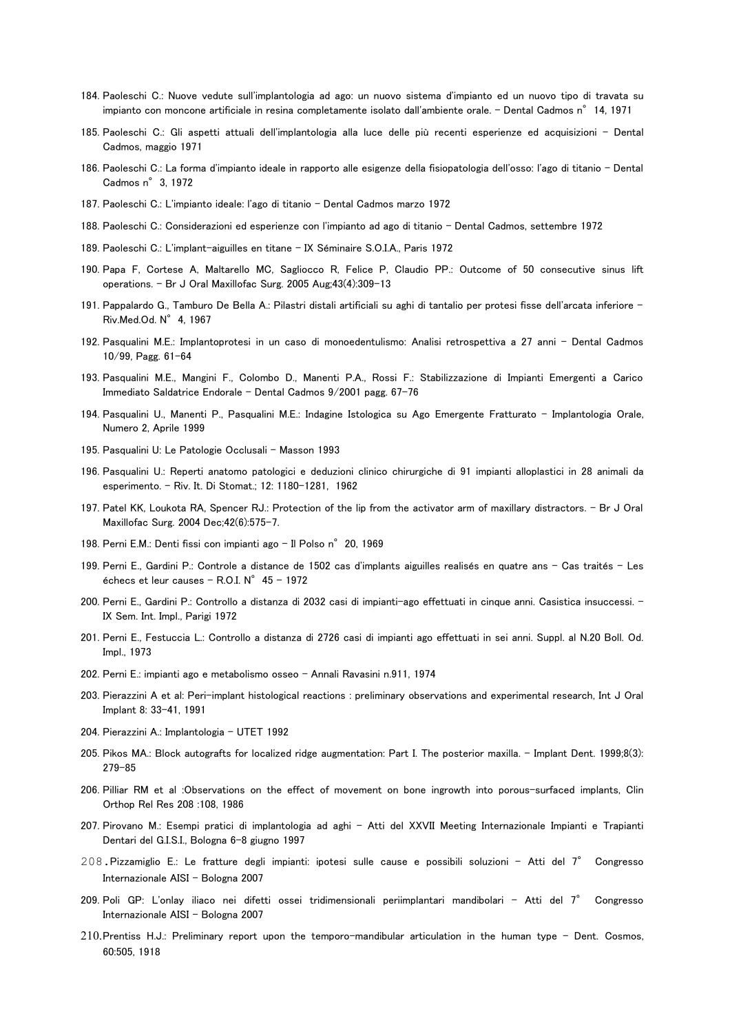- 184. Paoleschi C.: Nuove vedute sull'implantologia ad ago: un nuovo sistema d'impianto ed un nuovo tipo di travata su impianto con moncone artificiale in resina completamente isolato dall'ambiente orale. - Dental Cadmos n°14, 1971
- 185. Paoleschi C.: Gli aspetti attuali dell'implantologia alla luce delle più recenti esperienze ed acquisizioni Dental Cadmos, maggio 1971
- 186. Paoleschi C.: La forma d'impianto ideale in rapporto alle esigenze della fisiopatologia dell'osso: l'ago di titanio Dental Cadmos n°3, 1972
- 187. Paoleschi C.: L'impianto ideale: l'ago di titanio Dental Cadmos marzo 1972
- 188. Paoleschi C.: Considerazioni ed esperienze con l'impianto ad ago di titanio Dental Cadmos, settembre 1972
- 189. Paoleschi C.: L'implant-aiguilles en titane IX Séminaire S.O.I.A., Paris 1972
- 190. Papa F, Cortese A, Maltarello MC, Sagliocco R, Felice P, Claudio PP.: Outcome of 50 consecutive sinus lift operations. - Br J Oral Maxillofac Surg. 2005 Aug;43(4):309-13
- 191. Pappalardo G., Tamburo De Bella A.: Pilastri distali artificiali su aghi di tantalio per protesi fisse dell'arcata inferiore Riv.Med.Od. N°4, 1967
- 192. Pasqualini M.E.: Implantoprotesi in un caso di monoedentulismo: Analisi retrospettiva a 27 anni Dental Cadmos 10/99, Pagg. 61-64
- 193. Pasqualini M.E., Mangini F., Colombo D., Manenti P.A., Rossi F.: Stabilizzazione di Impianti Emergenti a Carico Immediato Saldatrice Endorale - Dental Cadmos 9/2001 pagg. 67-76
- 194. Pasqualini U., Manenti P., Pasqualini M.E.: Indagine Istologica su Ago Emergente Fratturato Implantologia Orale, Numero 2, Aprile 1999
- 195. Pasqualini U: Le Patologie Occlusali Masson 1993
- 196. Pasqualini U.: Reperti anatomo patologici e deduzioni clinico chirurgiche di 91 impianti alloplastici in 28 animali da esperimento. – Riv. It. Di Stomat.; 12: 1180-1281, 1962
- 197. Patel KK, Loukota RA, Spencer RJ.: Protection of the lip from the activator arm of maxillary distractors. Br J Oral Maxillofac Surg. 2004 Dec;42(6):575-7.
- 198. Perni E.M.: Denti fissi con impianti ago Il Polso n° 20, 1969
- 199. Perni E., Gardini P.: Controle a distance de 1502 cas d'implants aiguilles realisés en quatre ans Cas traités Les échecs et leur causes - R.O.I.  $N^{\circ}$  45 - 1972
- 200. Perni E., Gardini P.: Controllo a distanza di 2032 casi di impianti-ago effettuati in cinque anni. Casistica insuccessi. IX Sem. Int. Impl., Parigi 1972
- 201. Perni E., Festuccia L.: Controllo a distanza di 2726 casi di impianti ago effettuati in sei anni. Suppl. al N.20 Boll. Od. Impl., 1973
- 202. Perni E.: impianti ago e metabolismo osseo Annali Ravasini n.911, 1974
- 203. Pierazzini A et al: Peri-implant histological reactions : preliminary observations and experimental research, Int J Oral Implant 8: 33-41, 1991
- 204. Pierazzini A.: Implantologia UTET 1992
- 205. Pikos MA.: Block autografts for localized ridge augmentation: Part I. The posterior maxilla. Implant Dent. 1999;8(3): 279-85
- 206. Pilliar RM et al :Observations on the effect of movement on bone ingrowth into porous-surfaced implants, Clin Orthop Rel Res 208 :108, 1986
- 207. Pirovano M.: Esempi pratici di implantologia ad aghi Atti del XXVII Meeting Internazionale Impianti e Trapianti Dentari del G.I.S.I., Bologna 6-8 giugno 1997
- 208. Pizzamiglio E.: Le fratture degli impianti: ipotesi sulle cause e possibili soluzioni Atti del 7° Congresso Internazionale AISI – Bologna 2007
- 209. Poli GP: L'onlay iliaco nei difetti ossei tridimensionali periimplantari mandibolari Atti del 7° Congresso Internazionale AISI – Bologna 2007
- 210.Prentiss H.J.: Preliminary report upon the temporo-mandibular articulation in the human type Dent. Cosmos, 60:505, 1918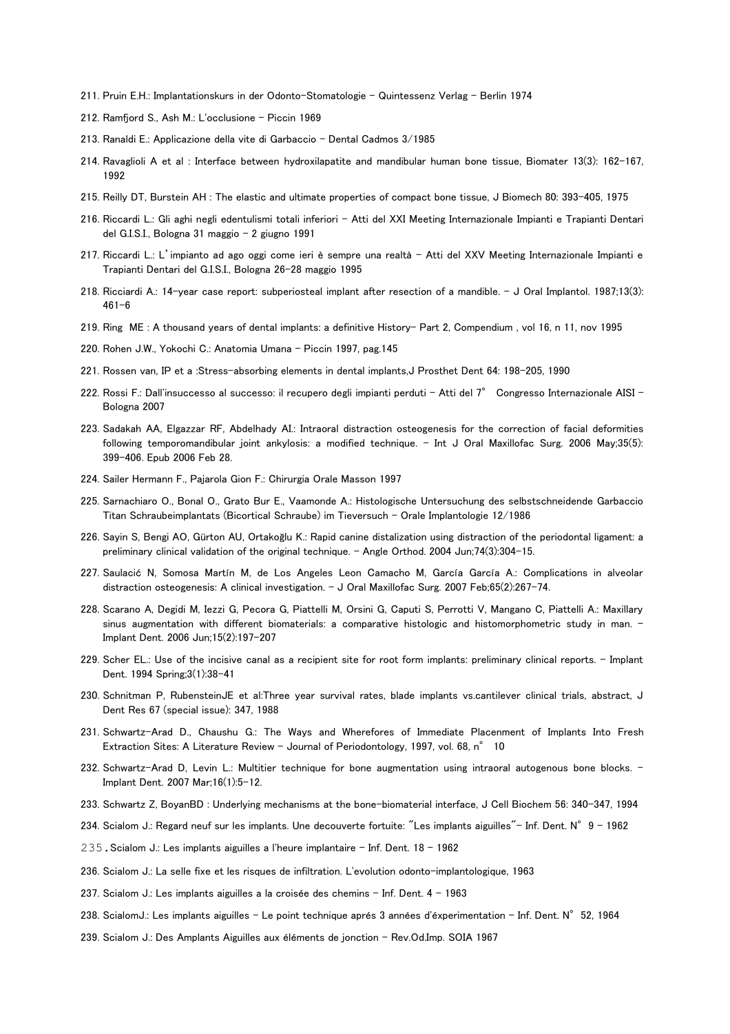- 211. Pruin E.H.: Implantationskurs in der Odonto-Stomatologie Quintessenz Verlag Berlin 1974
- 212. Ramfjord S., Ash M.: L'occlusione Piccin 1969
- 213. Ranaldi E.: Applicazione della vite di Garbaccio Dental Cadmos 3/1985
- 214. Ravaglioli A et al : Interface between hydroxilapatite and mandibular human bone tissue, Biomater 13(3): 162-167, 1992
- 215. Reilly DT, Burstein AH : The elastic and ultimate properties of compact bone tissue, J Biomech 80: 393-405, 1975
- 216. Riccardi L.: Gli aghi negli edentulismi totali inferiori Atti del XXI Meeting Internazionale Impianti e Trapianti Dentari del G.I.S.I., Bologna 31 maggio - 2 giugno 1991
- 217. Riccardi L.: L'impianto ad ago oggi come ieri è sempre una realtà Atti del XXV Meeting Internazionale Impianti e Trapianti Dentari del G.I.S.I., Bologna 26-28 maggio 1995
- 218. Ricciardi A.: 14-year case report: subperiosteal implant after resection of a mandible.  $-$  J Oral Implantol. 1987;13(3): 461-6
- 219. Ring ME : A thousand years of dental implants: a definitive History- Part 2, Compendium , vol 16, n 11, nov 1995
- 220. Rohen J.W., Yokochi C.: Anatomia Umana Piccin 1997, pag.145
- 221. Rossen van, IP et a :Stress-absorbing elements in dental implants,J Prosthet Dent 64: 198-205, 1990
- 222. Rossi F.: Dall'insuccesso al successo: il recupero degli impianti perduti Atti del 7° Congresso Internazionale AISI Bologna 2007
- 223. Sadakah AA, Elgazzar RF, Abdelhady AI.: Intraoral distraction osteogenesis for the correction of facial deformities following temporomandibular joint ankylosis: a modified technique. - Int J Oral Maxillofac Surg. 2006 May;35(5): 399-406. Epub 2006 Feb 28.
- 224. Sailer Hermann F., Pajarola Gion F.: Chirurgia Orale Masson 1997
- 225. Sarnachiaro O., Bonal O., Grato Bur E., Vaamonde A.: Histologische Untersuchung des selbstschneidende Garbaccio Titan Schraubeimplantats (Bicortical Schraube) im Tieversuch - Orale Implantologie 12/1986
- 226. Sayin S, Bengi AO, Gürton AU, Ortakoğlu K.: Rapid canine distalization using distraction of the periodontal ligament: a preliminary clinical validation of the original technique. - Angle Orthod. 2004 Jun;74(3):304-15.
- 227. Saulacić N, Somosa Martín M, de Los Angeles Leon Camacho M, García García A.: Complications in alveolar distraction osteogenesis: A clinical investigation. - J Oral Maxillofac Surg. 2007 Feb;65(2):267-74.
- 228. Scarano A, Degidi M, Iezzi G, Pecora G, Piattelli M, Orsini G, Caputi S, Perrotti V, Mangano C, Piattelli A.: Maxillary sinus augmentation with different biomaterials: a comparative histologic and histomorphometric study in man. -Implant Dent. 2006 Jun;15(2):197-207
- 229. Scher EL.: Use of the incisive canal as a recipient site for root form implants: preliminary clinical reports. Implant Dent. 1994 Spring;3(1):38-41
- 230. Schnitman P, RubensteinJE et al:Three year survival rates, blade implants vs.cantilever clinical trials, abstract, J Dent Res 67 (special issue): 347, 1988
- 231. Schwartz-Arad D., Chaushu G.: The Ways and Wherefores of Immediate Placenment of Implants Into Fresh Extraction Sites: A Literature Review - Journal of Periodontology, 1997, vol. 68, n° 10
- 232. Schwartz-Arad D, Levin L.: Multitier technique for bone augmentation using intraoral autogenous bone blocks. -Implant Dent. 2007 Mar;16(1):5-12.
- 233. Schwartz Z, BoyanBD : Underlying mechanisms at the bone-biomaterial interface, J Cell Biochem 56: 340-347, 1994
- 234. Scialom J.: Regard neuf sur les implants. Une decouverte fortuite: "Les implants aiguilles"- Inf. Dent. N°9 1962
- 235.Scialom J.: Les implants aiguilles a l'heure implantaire Inf. Dent. 18 1962
- 236. Scialom J.: La selle fixe et les risques de infiltration. L'evolution odonto-implantologique, 1963
- 237. Scialom J.: Les implants aiguilles a la croisée des chemins Inf. Dent. 4 1963
- 238. ScialomJ.: Les implants aiguilles Le point technique aprés 3 années d'éxperimentation Inf. Dent. N°52, 1964
- 239. Scialom J.: Des Amplants Aiguilles aux éléments de jonction Rev.Od.Imp. SOIA 1967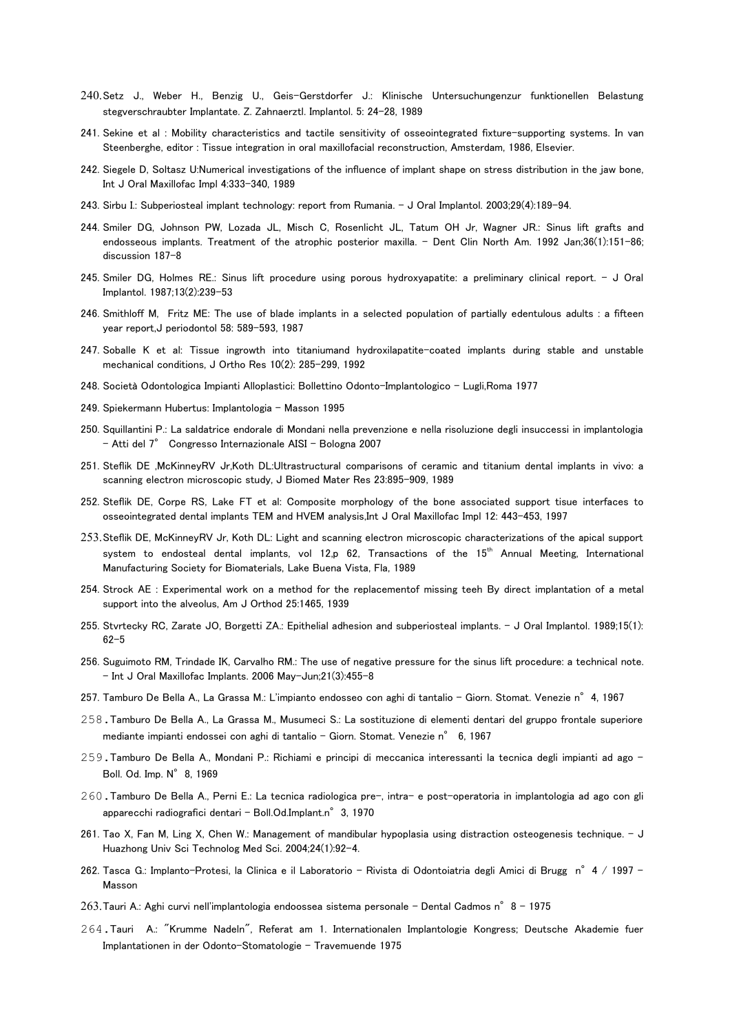- 240.Setz J., Weber H., Benzig U., Geis-Gerstdorfer J.: Klinische Untersuchungenzur funktionellen Belastung stegverschraubter Implantate. Z. Zahnaerztl. Implantol. 5: 24-28, 1989
- 241. Sekine et al : Mobility characteristics and tactile sensitivity of osseointegrated fixture-supporting systems. In van Steenberghe, editor : Tissue integration in oral maxillofacial reconstruction, Amsterdam, 1986, Elsevier.
- 242. Siegele D, Soltasz U:Numerical investigations of the influence of implant shape on stress distribution in the jaw bone, Int J Oral Maxillofac Impl 4:333-340, 1989
- 243. Sirbu I.: Subperiosteal implant technology: report from Rumania. J Oral Implantol. 2003;29(4):189-94.
- 244. Smiler DG, Johnson PW, Lozada JL, Misch C, Rosenlicht JL, Tatum OH Jr, Wagner JR.: Sinus lift grafts and endosseous implants. Treatment of the atrophic posterior maxilla. - Dent Clin North Am. 1992 Jan;36(1):151-86; discussion 187-8
- 245. Smiler DG, Holmes RE.: Sinus lift procedure using porous hydroxyapatite: a preliminary clinical report. J Oral Implantol. 1987;13(2):239-53
- 246. Smithloff M, Fritz ME: The use of blade implants in a selected population of partially edentulous adults : a fifteen year report,J periodontol 58: 589-593, 1987
- 247. Soballe K et al: Tissue ingrowth into titaniumand hydroxilapatite-coated implants during stable and unstable mechanical conditions, J Ortho Res 10(2): 285-299, 1992
- 248. Società Odontologica Impianti Alloplastici: Bollettino Odonto-Implantologico Lugli,Roma 1977
- 249. Spiekermann Hubertus: Implantologia Masson 1995
- 250. Squillantini P.: La saldatrice endorale di Mondani nella prevenzione e nella risoluzione degli insuccessi in implantologia - Atti del 7° Congresso Internazionale AISI – Bologna 2007
- 251. Steflik DE ,McKinneyRV Jr,Koth DL:Ultrastructural comparisons of ceramic and titanium dental implants in vivo: a scanning electron microscopic study, J Biomed Mater Res 23:895-909, 1989
- 252. Steflik DE, Corpe RS, Lake FT et al: Composite morphology of the bone associated support tisue interfaces to osseointegrated dental implants TEM and HVEM analysis,Int J Oral Maxillofac Impl 12: 443-453, 1997
- 253.Steflik DE, McKinneyRV Jr, Koth DL: Light and scanning electron microscopic characterizations of the apical support system to endosteal dental implants, vol 12,p 62, Transactions of the 15<sup>th</sup> Annual Meeting, International Manufacturing Society for Biomaterials, Lake Buena Vista, Fla, 1989
- 254. Strock AE : Experimental work on a method for the replacementof missing teeh By direct implantation of a metal support into the alveolus, Am J Orthod 25:1465, 1939
- 255. Stvrtecky RC, Zarate JO, Borgetti ZA.: Epithelial adhesion and subperiosteal implants. J Oral Implantol. 1989;15(1): 62-5
- 256. Suguimoto RM, Trindade IK, Carvalho RM.: The use of negative pressure for the sinus lift procedure: a technical note. - Int J Oral Maxillofac Implants. 2006 May-Jun;21(3):455-8
- 257. Tamburo De Bella A., La Grassa M.: L'impianto endosseo con aghi di tantalio Giorn. Stomat. Venezie n° 4, 1967
- 258.Tamburo De Bella A., La Grassa M., Musumeci S.: La sostituzione di elementi dentari del gruppo frontale superiore mediante impianti endossei con aghi di tantalio - Giorn. Stomat. Venezie n° 6, 1967
- 259.Tamburo De Bella A., Mondani P.: Richiami e principi di meccanica interessanti la tecnica degli impianti ad ago Boll. Od. Imp. N°8, 1969
- 260.Tamburo De Bella A., Perni E.: La tecnica radiologica pre-, intra- e post-operatoria in implantologia ad ago con gli apparecchi radiografici dentari - Boll.Od.Implant.n° 3, 1970
- 261. Tao X, Fan M, Ling X, Chen W.: Management of mandibular hypoplasia using distraction osteogenesis technique. J Huazhong Univ Sci Technolog Med Sci. 2004;24(1):92-4.
- 262. Tasca G.: Implanto-Protesi, la Clinica e il Laboratorio Rivista di Odontoiatria degli Amici di Brugg n° 4 / 1997 -Masson
- 263.Tauri A.: Aghi curvi nell'implantologia endoossea sistema personale Dental Cadmos n°8 1975
- 264.Tauri A.: "Krumme Nadeln", Referat am 1. Internationalen Implantologie Kongress; Deutsche Akademie fuer Implantationen in der Odonto-Stomatologie - Travemuende 1975